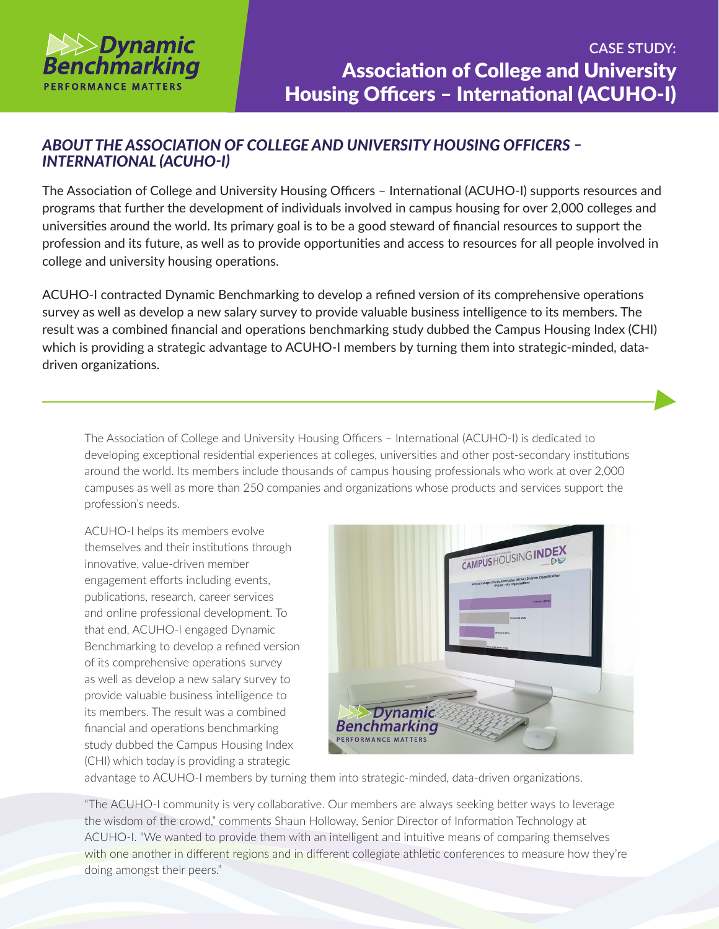

## *ABOUT THE ASSOCIATION OF COLLEGE AND UNIVERSITY HOUSING OFFICERS – INTERNATIONAL (ACUHO-I)*

The Association of College and University Housing Officers – International (ACUHO-I) supports resources and programs that further the development of individuals involved in campus housing for over 2,000 colleges and universities around the world. Its primary goal is to be a good steward of financial resources to support the profession and its future, as well as to provide opportunities and access to resources for all people involved in college and university housing operations.

ACUHO-I contracted Dynamic Benchmarking to develop a refined version of its comprehensive operations survey as well as develop a new salary survey to provide valuable business intelligence to its members. The result was a combined financial and operations benchmarking study dubbed the Campus Housing Index (CHI) which is providing a strategic advantage to ACUHO-I members by turning them into strategic-minded, datadriven organizations.

The Association of College and University Housing Officers – International (ACUHO-I) is dedicated to developing exceptional residential experiences at colleges, universities and other post-secondary institutions around the world. Its members include thousands of campus housing professionals who work at over 2,000 campuses as well as more than 250 companies and organizations whose products and services support the profession's needs.

ACUHO-I helps its members evolve themselves and their institutions through innovative, value-driven member engagement efforts including events, publications, research, career services and online professional development. To that end, ACUHO-I engaged Dynamic Benchmarking to develop a refined version of its comprehensive operations survey as well as develop a new salary survey to provide valuable business intelligence to its members. The result was a combined financial and operations benchmarking study dubbed the Campus Housing Index (CHI) which today is providing a strategic



advantage to ACUHO-I members by turning them into strategic-minded, data-driven organizations.

"The ACUHO-I community is very collaborative. Our members are always seeking better ways to leverage the wisdom of the crowd," comments Shaun Holloway, Senior Director of Information Technology at ACUHO-I. "We wanted to provide them with an intelligent and intuitive means of comparing themselves with one another in different regions and in different collegiate athletic conferences to measure how they're doing amongst their peers."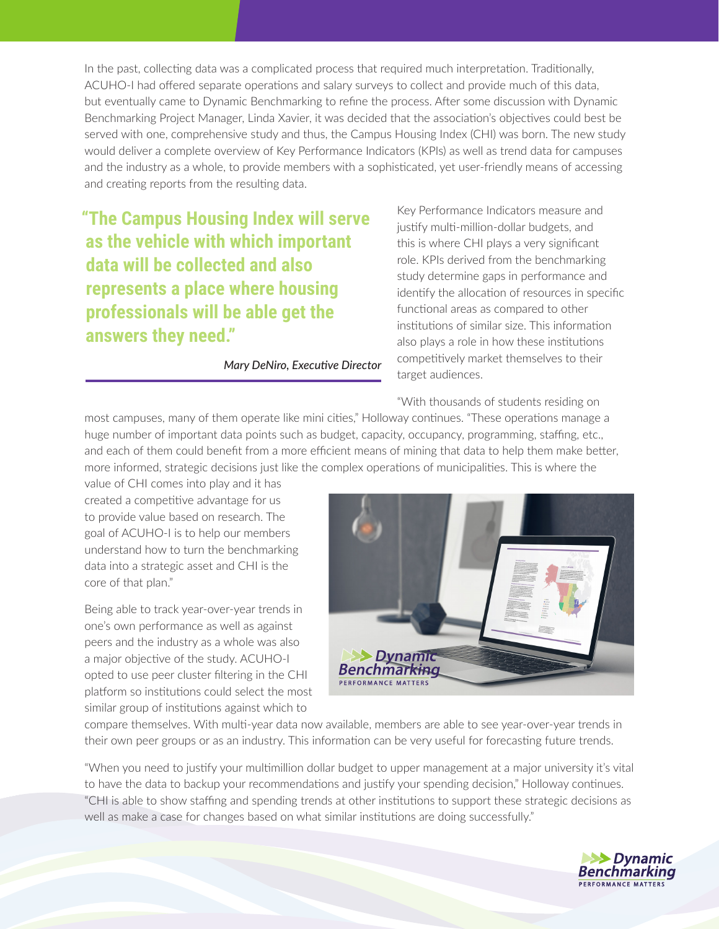In the past, collecting data was a complicated process that required much interpretation. Traditionally, ACUHO-I had offered separate operations and salary surveys to collect and provide much of this data, but eventually came to Dynamic Benchmarking to refine the process. After some discussion with Dynamic Benchmarking Project Manager, Linda Xavier, it was decided that the association's objectives could best be served with one, comprehensive study and thus, the Campus Housing Index (CHI) was born. The new study would deliver a complete overview of Key Performance Indicators (KPIs) as well as trend data for campuses and the industry as a whole, to provide members with a sophisticated, yet user-friendly means of accessing and creating reports from the resulting data.

**"The Campus Housing Index will serve as the vehicle with which important data will be collected and also represents a place where housing professionals will be able get the answers they need."**

*Mary DeNiro, Executive Director*

Key Performance Indicators measure and justify multi-million-dollar budgets, and this is where CHI plays a very significant role. KPIs derived from the benchmarking study determine gaps in performance and identify the allocation of resources in specific functional areas as compared to other institutions of similar size. This information also plays a role in how these institutions competitively market themselves to their target audiences.

"With thousands of students residing on

most campuses, many of them operate like mini cities," Holloway continues. "These operations manage a huge number of important data points such as budget, capacity, occupancy, programming, staffing, etc., and each of them could benefit from a more efficient means of mining that data to help them make better, more informed, strategic decisions just like the complex operations of municipalities. This is where the

value of CHI comes into play and it has created a competitive advantage for us to provide value based on research. The goal of ACUHO-I is to help our members understand how to turn the benchmarking data into a strategic asset and CHI is the core of that plan."

Being able to track year-over-year trends in one's own performance as well as against peers and the industry as a whole was also a major objective of the study. ACUHO-I opted to use peer cluster filtering in the CHI platform so institutions could select the most similar group of institutions against which to



compare themselves. With multi-year data now available, members are able to see year-over-year trends in their own peer groups or as an industry. This information can be very useful for forecasting future trends.

"When you need to justify your multimillion dollar budget to upper management at a major university it's vital to have the data to backup your recommendations and justify your spending decision," Holloway continues. "CHI is able to show staffing and spending trends at other institutions to support these strategic decisions as well as make a case for changes based on what similar institutions are doing successfully."